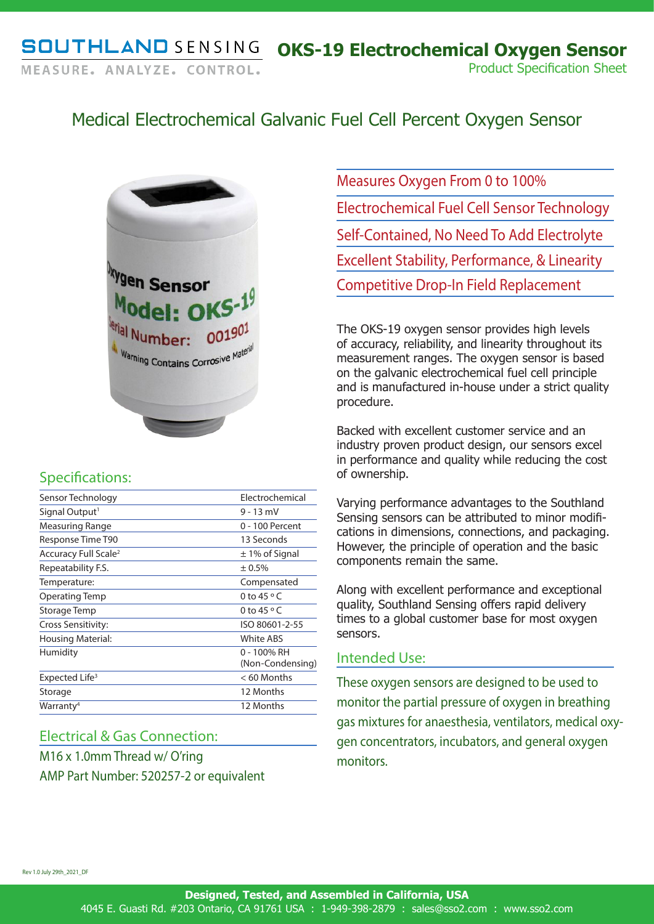# Medical Electrochemical Galvanic Fuel Cell Percent Oxygen Sensor



## Specifications:

| Sensor Technology                | Electrochemical                 |
|----------------------------------|---------------------------------|
| Signal Output <sup>1</sup>       | $9 - 13$ mV                     |
| Measuring Range                  | $0 - 100$ Percent               |
| Response Time T90                | 13 Seconds                      |
| Accuracy Full Scale <sup>2</sup> | $\pm$ 1% of Signal              |
| Repeatability F.S.               | ± 0.5%                          |
| Temperature:                     | Compensated                     |
| Operating Temp                   | 0 to 45 $\circ$ C               |
| Storage Temp                     | 0 to 45 $\circ$ C               |
| Cross Sensitivity:               | ISO 80601-2-55                  |
| <b>Housing Material:</b>         | <b>White ABS</b>                |
| Humidity                         | 0 - 100% RH<br>(Non-Condensing) |
| Expected Life <sup>3</sup>       | < 60 Months                     |
| Storage                          | 12 Months                       |
| Warranty <sup>4</sup>            | 12 Months                       |

### Electrical & Gas Connection:

M16 x 1.0mm Thread w/ O'ring AMP Part Number: 520257-2 or equivalent Measures Oxygen From 0 to 100% Electrochemical Fuel Cell Sensor Technology Self-Contained, No Need To Add Electrolyte Excellent Stability, Performance, & Linearity Competitive Drop-In Field Replacement

The OKS-19 oxygen sensor provides high levels of accuracy, reliability, and linearity throughout its measurement ranges. The oxygen sensor is based on the galvanic electrochemical fuel cell principle and is manufactured in-house under a strict quality procedure.

Backed with excellent customer service and an industry proven product design, our sensors excel in performance and quality while reducing the cost of ownership.

Varying performance advantages to the Southland Sensing sensors can be attributed to minor modifications in dimensions, connections, and packaging. However, the principle of operation and the basic components remain the same.

Along with excellent performance and exceptional quality, Southland Sensing offers rapid delivery times to a global customer base for most oxygen sensors.

### Intended Use:

These oxygen sensors are designed to be used to monitor the partial pressure of oxygen in breathing gas mixtures for anaesthesia, ventilators, medical oxygen concentrators, incubators, and general oxygen monitors.

Rev 1.0 July 29th\_2021\_DF